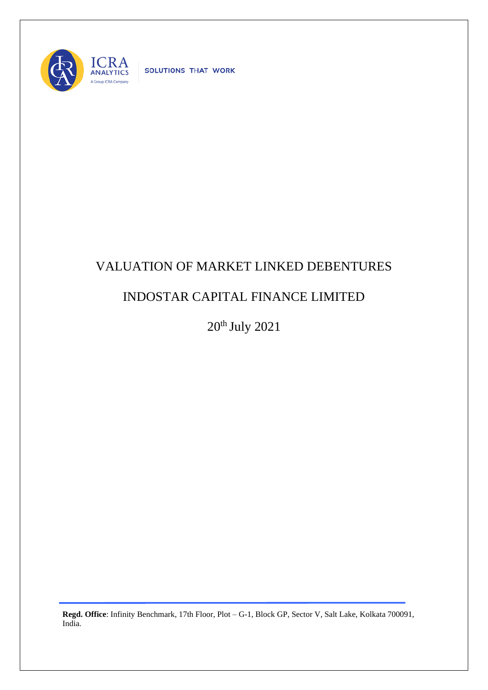

SOLUTIONS THAT WORK

## VALUATION OF MARKET LINKED DEBENTURES

## INDOSTAR CAPITAL FINANCE LIMITED

20th July 2021

**Regd. Office**: Infinity Benchmark, 17th Floor, Plot – G-1, Block GP, Sector V, Salt Lake, Kolkata 700091, India.